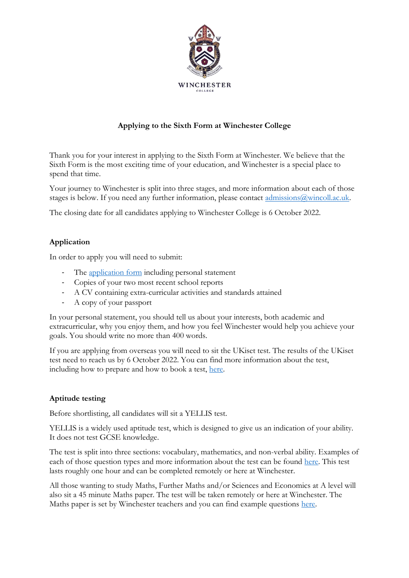

## **Applying to the Sixth Form at Winchester College**

Thank you for your interest in applying to the Sixth Form at Winchester. We believe that the Sixth Form is the most exciting time of your education, and Winchester is a special place to spend that time.

Your journey to Winchester is split into three stages, and more information about each of those stages is below. If you need any further information, please contact admissions @wincoll.ac.uk.

The closing date for all candidates applying to Winchester College is 6 October 2022.

## **Application**

In order to apply you will need to submit:

- The [application form](https://view.officeapps.live.com/op/view.aspx?src=https%3A%2F%2Fwww.winchestercollege.org%2Fassets%2Ffiles%2Fuploads%2Fwinchester-college-2023-sixth-form-application-form.docx&wdOrigin=BROWSELINK) including personal statement
- Copies of your two most recent school reports
- A CV containing extra-curricular activities and standards attained
- A copy of your passport

In your personal statement, you should tell us about your interests, both academic and extracurricular, why you enjoy them, and how you feel Winchester would help you achieve your goals. You should write no more than 400 words.

If you are applying from overseas you will need to sit the UKiset test. The results of the UKiset test need to reach us by 6 October 2022. You can find more information about the test, including how to prepare and how to book a test, [here.](https://www.ukiset.com/)

## **Aptitude testing**

Before shortlisting, all candidates will sit a YELLIS test.

YELLIS is a widely used aptitude test, which is designed to give us an indication of your ability. It does not test GCSE knowledge.

The test is split into three sections: vocabulary, mathematics, and non-verbal ability. Examples of each of those question types and more information about the test can be found [here.](https://www.cem.org/yellis#:~:text=Yellis%20stands%20for%20Year%20Eleven,perform%20at%20GCSE%20and%20IGCSE.) This test lasts roughly one hour and can be completed remotely or here at Winchester.

All those wanting to study Maths, Further Maths and/or Sciences and Economics at A level will also sit a 45 minute Maths paper. The test will be taken remotely or here at Winchester. The Maths paper is set by Winchester teachers and you can find example questions [here.](https://forms.office.com/r/WUTWaQHAUf)